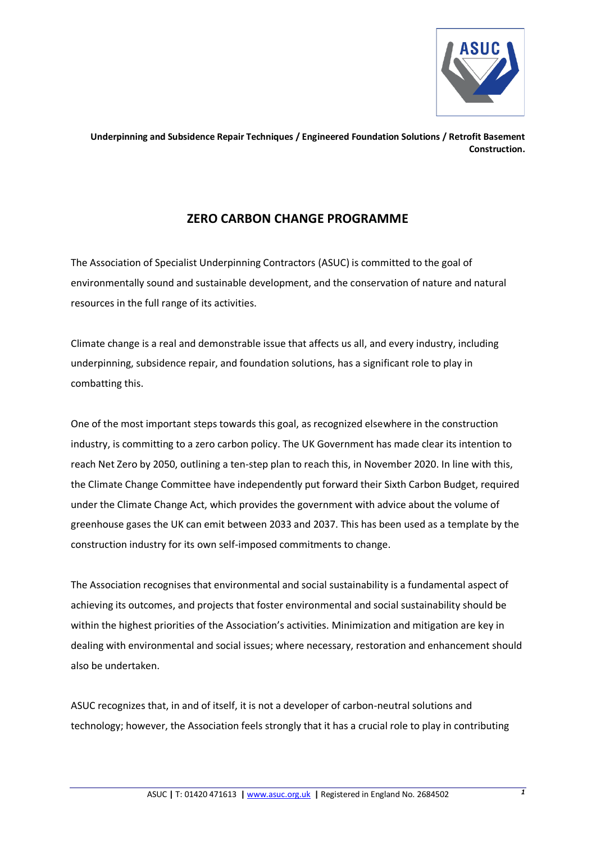

**Underpinning and Subsidence Repair Techniques / Engineered Foundation Solutions / Retrofit Basement Construction.**

## **ZERO CARBON CHANGE PROGRAMME**

The Association of Specialist Underpinning Contractors (ASUC) is committed to the goal of environmentally sound and sustainable development, and the conservation of nature and natural resources in the full range of its activities.

Climate change is a real and demonstrable issue that affects us all, and every industry, including underpinning, subsidence repair, and foundation solutions, has a significant role to play in combatting this.

One of the most important steps towards this goal, as recognized elsewhere in the construction industry, is committing to a zero carbon policy. The UK Government has made clear its intention to reach Net Zero by 2050, outlining a ten-step plan to reach this, in November 2020. In line with this, the Climate Change Committee have independently put forward their Sixth Carbon Budget, required under the Climate Change Act, which provides the government with advice about the volume of greenhouse gases the UK can emit between 2033 and 2037. This has been used as a template by the construction industry for its own self-imposed commitments to change.

The Association recognises that environmental and social sustainability is a fundamental aspect of achieving its outcomes, and projects that foster environmental and social sustainability should be within the highest priorities of the Association's activities. Minimization and mitigation are key in dealing with environmental and social issues; where necessary, restoration and enhancement should also be undertaken.

ASUC recognizes that, in and of itself, it is not a developer of carbon-neutral solutions and technology; however, the Association feels strongly that it has a crucial role to play in contributing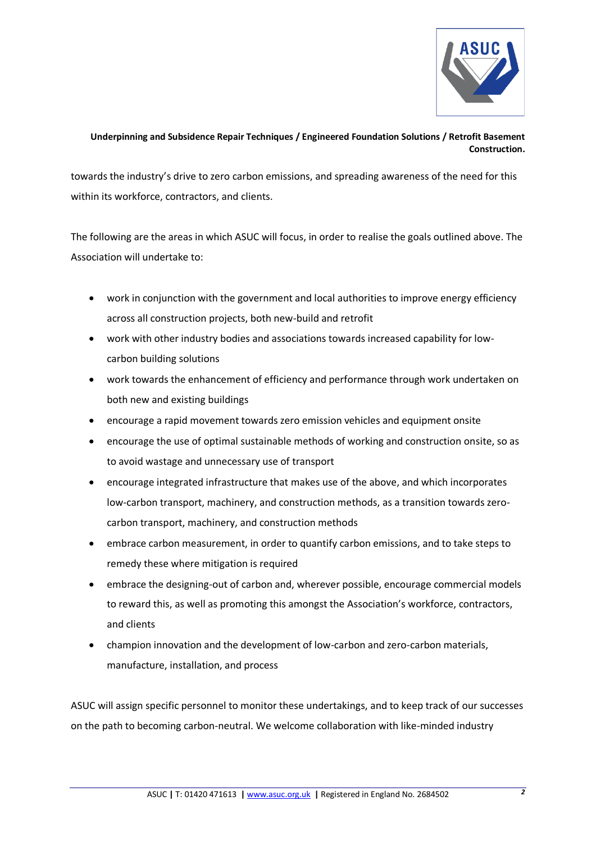

## **Underpinning and Subsidence Repair Techniques / Engineered Foundation Solutions / Retrofit Basement Construction.**

towards the industry's drive to zero carbon emissions, and spreading awareness of the need for this within its workforce, contractors, and clients.

The following are the areas in which ASUC will focus, in order to realise the goals outlined above. The Association will undertake to:

- work in conjunction with the government and local authorities to improve energy efficiency across all construction projects, both new-build and retrofit
- work with other industry bodies and associations towards increased capability for lowcarbon building solutions
- work towards the enhancement of efficiency and performance through work undertaken on both new and existing buildings
- encourage a rapid movement towards zero emission vehicles and equipment onsite
- encourage the use of optimal sustainable methods of working and construction onsite, so as to avoid wastage and unnecessary use of transport
- encourage integrated infrastructure that makes use of the above, and which incorporates low-carbon transport, machinery, and construction methods, as a transition towards zerocarbon transport, machinery, and construction methods
- embrace carbon measurement, in order to quantify carbon emissions, and to take steps to remedy these where mitigation is required
- embrace the designing-out of carbon and, wherever possible, encourage commercial models to reward this, as well as promoting this amongst the Association's workforce, contractors, and clients
- champion innovation and the development of low-carbon and zero-carbon materials, manufacture, installation, and process

ASUC will assign specific personnel to monitor these undertakings, and to keep track of our successes on the path to becoming carbon-neutral. We welcome collaboration with like-minded industry